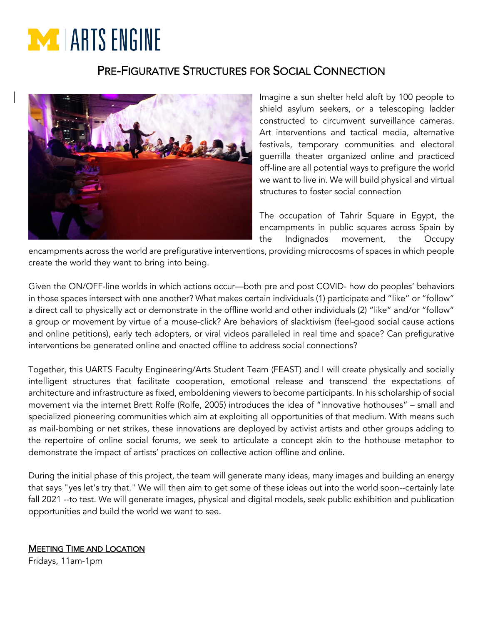# **EXT** LARTS ENGINE

## PRE-FIGURATIVE STRUCTURES FOR SOCIAL CONNECTION



Imagine a sun shelter held aloft by 100 people to shield asylum seekers, or a telescoping ladder constructed to circumvent surveillance cameras. Art interventions and tactical media, alternative festivals, temporary communities and electoral guerrilla theater organized online and practiced off-line are all potential ways to prefigure the world we want to live in. We will build physical and virtual structures to foster social connection

The occupation of Tahrir Square in Egypt, the encampments in public squares across Spain by the Indignados movement, the Occupy

encampments across the world are prefigurative interventions, providing microcosms of spaces in which people create the world they want to bring into being.

Given the ON/OFF-line worlds in which actions occur—both pre and post COVID- how do peoples' behaviors in those spaces intersect with one another? What makes certain individuals (1) participate and "like" or "follow" a direct call to physically act or demonstrate in the offline world and other individuals (2) "like" and/or "follow" a group or movement by virtue of a mouse-click? Are behaviors of slacktivism (feel-good social cause actions and online petitions), early tech adopters, or viral videos paralleled in real time and space? Can prefigurative interventions be generated online and enacted offline to address social connections?

Together, this UARTS Faculty Engineering/Arts Student Team (FEAST) and I will create physically and socially intelligent structures that facilitate cooperation, emotional release and transcend the expectations of architecture and infrastructure as fixed, emboldening viewers to become participants. In his scholarship of social movement via the internet Brett Rolfe (Rolfe, 2005) introduces the idea of "innovative hothouses" – small and specialized pioneering communities which aim at exploiting all opportunities of that medium. With means such as mail-bombing or net strikes, these innovations are deployed by activist artists and other groups adding to the repertoire of online social forums, we seek to articulate a concept akin to the hothouse metaphor to demonstrate the impact of artists' practices on collective action offline and online.

During the initial phase of this project, the team will generate many ideas, many images and building an energy that says "yes let's try that." We will then aim to get some of these ideas out into the world soon--certainly late fall 2021 --to test. We will generate images, physical and digital models, seek public exhibition and publication opportunities and build the world we want to see.

### MEETING TIME AND LOCATION Fridays, 11am-1pm